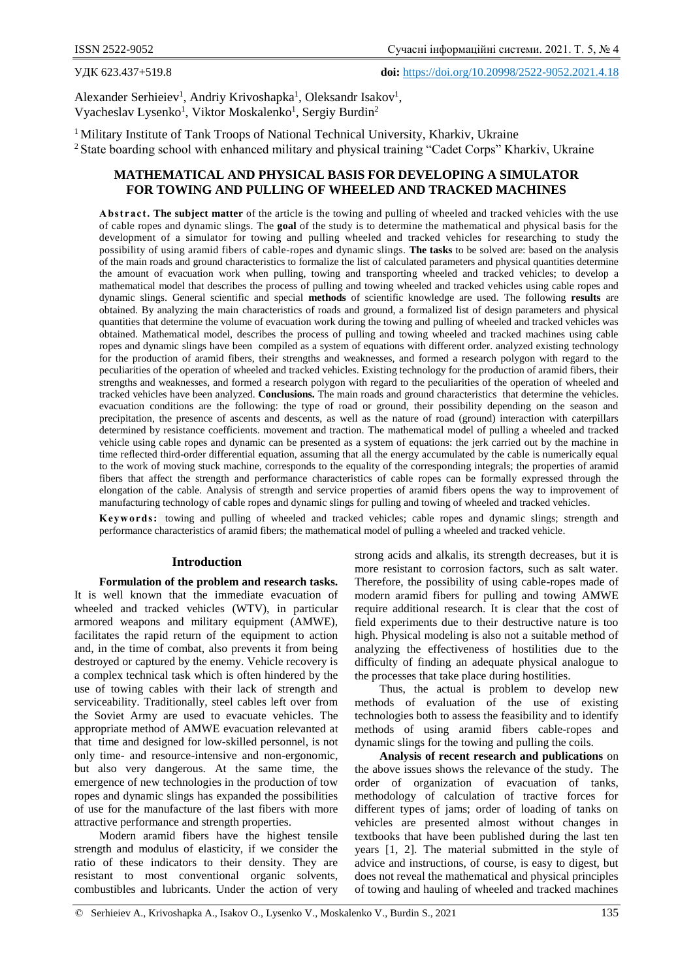УДК 623.437+519.8 **doi:** https://doi.org/10.20998/2522-9052.2021.4.18

Alexander Serhieiev<sup>1</sup>, Andriy Krivoshapka<sup>1</sup>, Oleksandr Isakov<sup>1</sup>, Vyacheslav Lysenko<sup>1</sup>, Viktor Moskalenko<sup>1</sup>, Sergiy Burdin<sup>2</sup>

<sup>1</sup> Military Institute of Tank Troops of National Technical University, Kharkiy, Ukraine <sup>2</sup> State boarding school with enhanced military and physical training "Cadet Corps" Kharkiv, Ukraine

# **MATHEMATICAL AND PHYSICAL BASIS FOR DEVELOPING A SIMULATOR FOR TOWING AND PULLING OF WHEELED AND TRACKED MACHINES**

A bstract. The subject matter of the article is the towing and pulling of wheeled and tracked vehicles with the use of cable ropes and dynamic slings. The **goal** of the study is to determine the mathematical and physical basis for the development of a simulator for towing and pulling wheeled and tracked vehicles for researching to study the possibility of using aramid fibers of cable-ropes and dynamic slings. **The tasks** to be solved are: based on the analysis of the main roads and ground characteristics to formalize the list of calculated parameters and physical quantities determine the amount of evacuation work when pulling, towing and transporting wheeled and tracked vehicles; to develop a mathematical model that describes the process of pulling and towing wheeled and tracked vehicles using cable ropes and dynamic slings. General scientific and special **methods** of scientific knowledge are used. The following **results** are obtained. By analyzing the main characteristics of roads and ground, a formalized list of design parameters and physical quantities that determine the volume of evacuation work during the towing and pulling of wheeled and tracked vehicles was obtained. Mathematical model, describes the process of pulling and towing wheeled and tracked machines using cable ropes and dynamic slings have been compiled as a system of equations with different order. analyzed existing technology for the production of aramid fibers, their strengths and weaknesses, and formed a research polygon with regard to the peculiarities of the operation of wheeled and tracked vehicles. Existing technology for the production of aramid fibers, their strengths and weaknesses, and formed a research polygon with regard to the peculiarities of the operation of wheeled and tracked vehicles have been analyzed. **Conclusions.** The main roads and ground characteristics that determine the vehicles. evacuation conditions are the following: the type of road or ground, their possibility depending on the season and precipitation, the presence of ascents and descents, as well as the nature of road (ground) interaction with caterpillars determined by resistance coefficients. movement and traction. The mathematical model of pulling a wheeled and tracked vehicle using cable ropes and dynamic can be presented as a system of equations: the jerk carried out by the machine in time reflected third-order differential equation, assuming that all the energy accumulated by the cable is numerically equal to the work of moving stuck machine, corresponds to the equality of the corresponding integrals; the properties of aramid fibers that affect the strength and performance characteristics of cable ropes can be formally expressed through the elongation of the cable. Analysis of strength and service properties of aramid fibers opens the way to improvement of manufacturing technology of cable ropes and dynamic slings for pulling and towing of wheeled and tracked vehicles.

**Keywords:** towing and pulling of wheeled and tracked vehicles; cable ropes and dynamic slings; strength and performance characteristics of aramid fibers; the mathematical model of pulling a wheeled and tracked vehicle.

### **Introduction**

**Formulation of the problem and research tasks.** It is well known that the immediate evacuation of wheeled and tracked vehicles (WTV), in particular armored weapons and military equipment (AMWE), facilitates the rapid return of the equipment to action and, in the time of combat, also prevents it from being destroyed or captured by the enemy. Vehicle recovery is a complex technical task which is often hindered by the use of towing cables with their lack of strength and serviceability. Traditionally, steel cables left over from the Soviet Army are used to evacuate vehicles. The appropriate method of AMWE evacuation relevanted at that time and designed for low-skilled personnel, is not only time- and resource-intensive and non-ergonomic, but also very dangerous. At the same time, the emergence of new technologies in the production of tow ropes and dynamic slings has expanded the possibilities of use for the manufacture of the last fibers with more attractive performance and strength properties.

Modern aramid fibers have the highest tensile strength and modulus of elasticity, if we consider the ratio of these indicators to their density. They are resistant to most conventional organic solvents, combustibles and lubricants. Under the action of very strong acids and alkalis, its strength decreases, but it is more resistant to corrosion factors, such as salt water. Therefore, the possibility of using cable-ropes made of modern aramid fibers for pulling and towing AMWE require additional research. It is clear that the cost of field experiments due to their destructive nature is too high. Physical modeling is also not a suitable method of analyzing the effectiveness of hostilities due to the difficulty of finding an adequate physical analogue to the processes that take place during hostilities.

Thus, the actual is problem to develop new methods of evaluation of the use of existing technologies both to assess the feasibility and to identify methods of using aramid fibers cable-ropes and dynamic slings for the towing and pulling the coils.

**Analysis of recent research and publications** on the above issues shows the relevance of the study. The order of organization of evacuation of tanks, methodology of calculation of tractive forces for different types of jams; order of loading of tanks on vehicles are presented almost without changes in textbooks that have been published during the last ten years [1, 2]. The material submitted in the style of advice and instructions, of course, is easy to digest, but does not reveal the mathematical and physical principles of towing and hauling of wheeled and tracked machines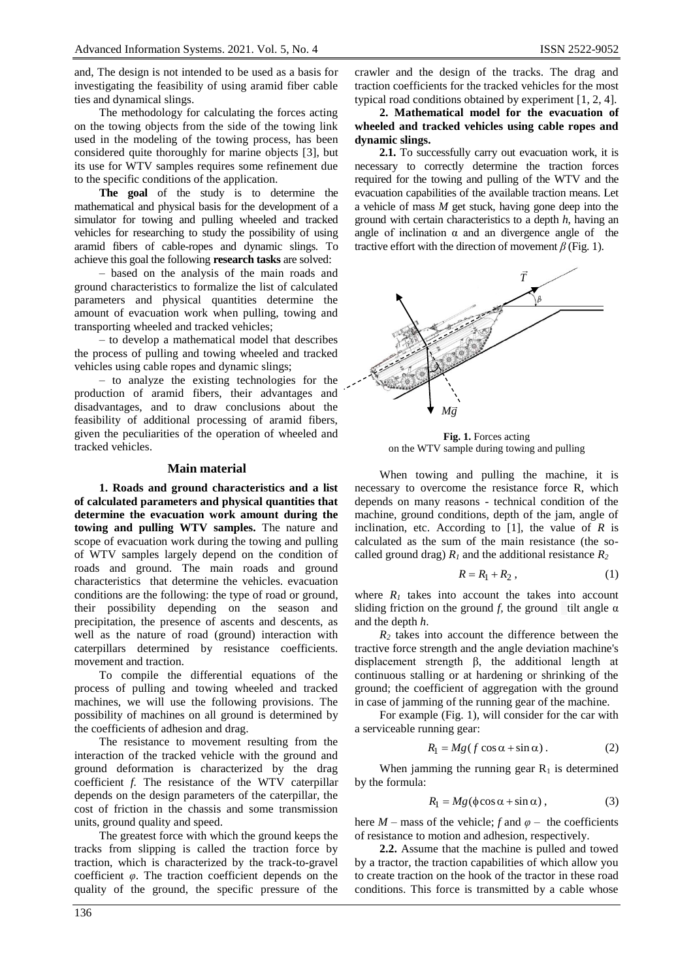and, The design is not intended to be used as a basis for investigating the feasibility of using aramid fiber cable ties and dynamical slings.

The methodology for calculating the forces acting on the towing objects from the side of the towing link used in the modeling of the towing process, has been considered quite thoroughly for marine objects [3], but its use for WTV samples requires some refinement due to the specific conditions of the application.

**The goal** of the study is to determine the mathematical and physical basis for the development of a simulator for towing and pulling wheeled and tracked vehicles for researching to study the possibility of using aramid fibers of cable-ropes and dynamic slings. To achieve this goal the following **research tasks** are solved:

‒ based on the analysis of the main roads and ground characteristics to formalize the list of calculated parameters and physical quantities determine the amount of evacuation work when pulling, towing and transporting wheeled and tracked vehicles;

‒ to develop a mathematical model that describes the process of pulling and towing wheeled and tracked vehicles using cable ropes and dynamic slings;

‒ to analyze the existing technologies for the production of aramid fibers, their advantages and disadvantages, and to draw conclusions about the feasibility of additional processing of aramid fibers, given the peculiarities of the operation of wheeled and tracked vehicles.

### **Main material**

**1. Roads and ground characteristics and a list of calculated parameters and physical quantities that determine the evacuation work amount during the towing and pulling WTV samples.** The nature and scope of evacuation work during the towing and pulling of WTV samples largely depend on the condition of roads and ground. The main roads and ground characteristics that determine the vehicles. evacuation conditions are the following: the type of road or ground, their possibility depending on the season and precipitation, the presence of ascents and descents, as well as the nature of road (ground) interaction with caterpillars determined by resistance coefficients. movement and traction.

To compile the differential equations of the process of pulling and towing wheeled and tracked machines, we will use the following provisions. The possibility of machines on all ground is determined by the coefficients of adhesion and drag.

The resistance to movement resulting from the interaction of the tracked vehicle with the ground and ground deformation is characterized by the drag coefficient *f.* The resistance of the WTV caterpillar depends on the design parameters of the caterpillar, the cost of friction in the chassis and some transmission units, ground quality and speed.

The greatest force with which the ground keeps the tracks from slipping is called the traction force by traction, which is characterized by the track-to-gravel coefficient *φ*. The traction coefficient depends on the quality of the ground, the specific pressure of the crawler and the design of the tracks. The drag and traction coefficients for the tracked vehicles for the most typical road conditions obtained by experiment [1, 2, 4].

**2. Mathematical model for the evacuation of wheeled and tracked vehicles using cable ropes and dynamic slings.**

**2.1.** To successfully carry out evacuation work, it is necessary to correctly determine the traction forces required for the towing and pulling of the WTV and the evacuation capabilities of the available traction means. Let a vehicle of mass *M* get stuck, having gone deep into the ground with certain characteristics to a depth *h*, having an angle of inclination  $\alpha$  and an divergence angle of the tractive effort with the direction of movement *β* (Fig. 1).



**Fig. 1.** Forces acting on the WTV sample during towing and pulling

When towing and pulling the machine, it is necessary to overcome the resistance force R, which depends on many reasons - technical condition of the machine, ground conditions, depth of the jam, angle of inclination, etc. According to  $[1]$ , the value of *R* is calculated as the sum of the main resistance (the socalled ground drag)  $R_1$  and the additional resistance  $R_2$ 

$$
R = R_1 + R_2, \qquad (1)
$$

where  $R_1$  takes into account the takes into account sliding friction on the ground *f,* the ground tilt angle  $\alpha$ and the depth *h*.

 $R_2$  takes into account the difference between the tractive force strength and the angle deviation machine's displacement strength β, the additional length at continuous stalling or at hardening or shrinking of the ground; the coefficient of aggregation with the ground in case of jamming of the running gear of the machine.

For example (Fig. 1), will consider for the car with a serviceable running gear:

$$
R_1 = Mg(f\cos\alpha + \sin\alpha). \tag{2}
$$

When jamming the running gear  $R_1$  is determined by the formula:

$$
R_1 = Mg(\phi \cos \alpha + \sin \alpha) , \qquad (3)
$$

here  $M$  – mass of the vehicle; *f* and  $\varphi$  – the coefficients of resistance to motion and adhesion, respectively.

**2.2.** Assume that the machine is pulled and towed by a tractor, the traction capabilities of which allow you to create traction on the hook of the tractor in these road conditions. This force is transmitted by a cable whose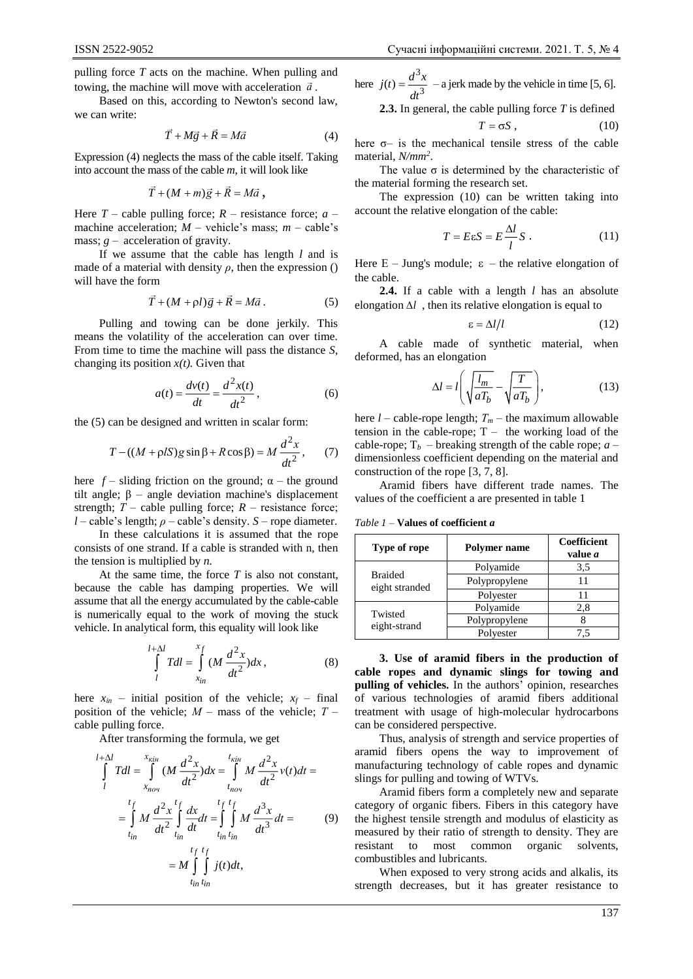pulling force *T* acts on the machine. When pulling and towing, the machine will move with acceleration *а* .

Based on this, according to Newton's second law, we can write:

$$
\vec{T} + M\vec{g} + \vec{R} = M\vec{a}
$$
 (4)

Expression (4) neglects the mass of the cable itself. Taking into account the mass of the cable *m*, it will look like

$$
\vec{T}+(M+m)\vec{g}+\vec{R}=M\vec{a},
$$

Here  $T$  – cable pulling force;  $R$  – resistance force;  $a$  – machine acceleration;  $M$  – vehicle's mass;  $m$  – cable's mass;  $g$  – acceleration of gravity.

If we assume that the cable has length *l* and is made of a material with density  $\rho$ , then the expression () will have the form

$$
\vec{T} + (M + \rho l)\vec{g} + \vec{R} = M\vec{a}.
$$
 (5)

Pulling and towing can be done jerkily. This means the volatility of the acceleration can over time. From time to time the machine will pass the distance *S*, changing its position  $x(t)$ . Given that

$$
a(t) = \frac{dv(t)}{dt} = \frac{d^2x(t)}{dt^2},
$$
\n<sup>(6)</sup>

the (5) can be designed and written in scalar form:

$$
T - ((M + \rho lS)g\sin\beta + R\cos\beta) = M\frac{d^2x}{dt^2},\qquad(7)
$$

here  $f$  – sliding friction on the ground;  $\alpha$  – the ground tilt angle;  $\beta$  – angle deviation machine's displacement strength;  $T$  – cable pulling force;  $R$  – resistance force;  $l$  – cable's length;  $\rho$  – cable's density. *S* – rope diameter.

In these calculations it is assumed that the rope consists of one strand. If a cable is stranded with n, then the tension is multiplied by *n.*

At the same time, the force *T* is also not constant, because the cable has damping properties. We will assume that all the energy accumulated by the cable-cable is numerically equal to the work of moving the stuck vehicle. In analytical form, this equality will look like

$$
\int_{l}^{l+\Delta l} T dl = \int_{x_{in}}^{x_f} (M \frac{d^2 x}{dt^2}) dx, \qquad (8)
$$

here  $x_{in}$  – initial position of the vehicle;  $x_f$  – final position of the vehicle;  $M -$  mass of the vehicle;  $T$ cable pulling force.

After transforming the formula, we get

$$
\int_{l}^{l+\Delta l} T dl = \int_{x_{nou}}^{x_{kin}} (M \frac{d^{2}x}{dt^{2}}) dx = \int_{t_{nou}}^{t_{kin}} M \frac{d^{2}x}{dt^{2}} v(t) dt =
$$
\n
$$
= \int_{t_{in}}^{t_{f}} M \frac{d^{2}x}{dt^{2}} \int_{t_{in}}^{t_{f}} \frac{dx}{dt} dt = \int_{t_{in}}^{t_{f}} \int_{t_{in}}^{t_{f}} M \frac{d^{3}x}{dt^{3}} dt =
$$
\n
$$
= M \int_{t_{in}}^{t_{f}} \int_{t_{in}}^{t_{f}} j(t) dt,
$$
\n
$$
t_{in} t_{in}
$$

here 3  $j(t) = \frac{d^3x}{dt^3}$  – a jerk made by the vehicle in time [5, 6].

**2.3.** In general, the cable pulling force *T* is defined

$$
T = \sigma S \,, \tag{10}
$$

here  $\sigma$ - is the mechanical tensile stress of the cable material, *N/mm<sup>2</sup>* .

The value  $\sigma$  is determined by the characteristic of the material forming the research set.

The expression (10) can be written taking into account the relative elongation of the cable:

$$
T = E\epsilon S = E\frac{\Delta l}{l}S \tag{11}
$$

Here  $E - Jung's module$ ;  $\varepsilon$  – the relative elongation of the cable.

**2.4.** If a cable with a length *l* has an absolute elongation  $\Delta l$ , then its relative elongation is equal to

$$
\varepsilon = \Delta l / l \tag{12}
$$

A cable made of synthetic material, when deformed, has an elongation

$$
\Delta l = l \left( \sqrt{\frac{l_m}{aT_b}} - \sqrt{\frac{T}{aT_b}} \right),\tag{13}
$$

here *l* – cable-rope length; *Т<sup>m</sup>* – the maximum allowable tension in the cable-rope;  $T -$  the working load of the cable-rope;  $T_b$  – breaking strength of the cable rope; *a* – dimensionless coefficient depending on the material and construction of the rope [3, 7, 8].

Aramid fibers have different trade names. The values of the coefficient a are presented in table 1

*Table 1* ‒ **Values of coefficient** *a*

| Type of rope                     | <b>Polymer name</b> | Coefficient<br>value <i>a</i> |
|----------------------------------|---------------------|-------------------------------|
| <b>Braided</b><br>eight stranded | Polyamide           | 3,5                           |
|                                  | Polypropylene       | 11                            |
|                                  | Polyester           | 11                            |
| Twisted<br>eight-strand          | Polyamide           | 2,8                           |
|                                  | Polypropylene       |                               |
|                                  | Polvester           | 7.5                           |

**3. Use of aramid fibers in the production of cable ropes and dynamic slings for towing and pulling of vehicles.** In the authors' opinion, researches of various technologies of aramid fibers additional treatment with usage of high-molecular hydrocarbons can be considered perspective.

Thus, analysis of strength and service properties of aramid fibers opens the way to improvement of manufacturing technology of cable ropes and dynamic slings for pulling and towing of WTVs.

Aramid fibers form a completely new and separate category of organic fibers. Fibers in this category have the highest tensile strength and modulus of elasticity as measured by their ratio of strength to density. They are resistant to most common organic solvents, combustibles and lubricants.

When exposed to very strong acids and alkalis, its strength decreases, but it has greater resistance to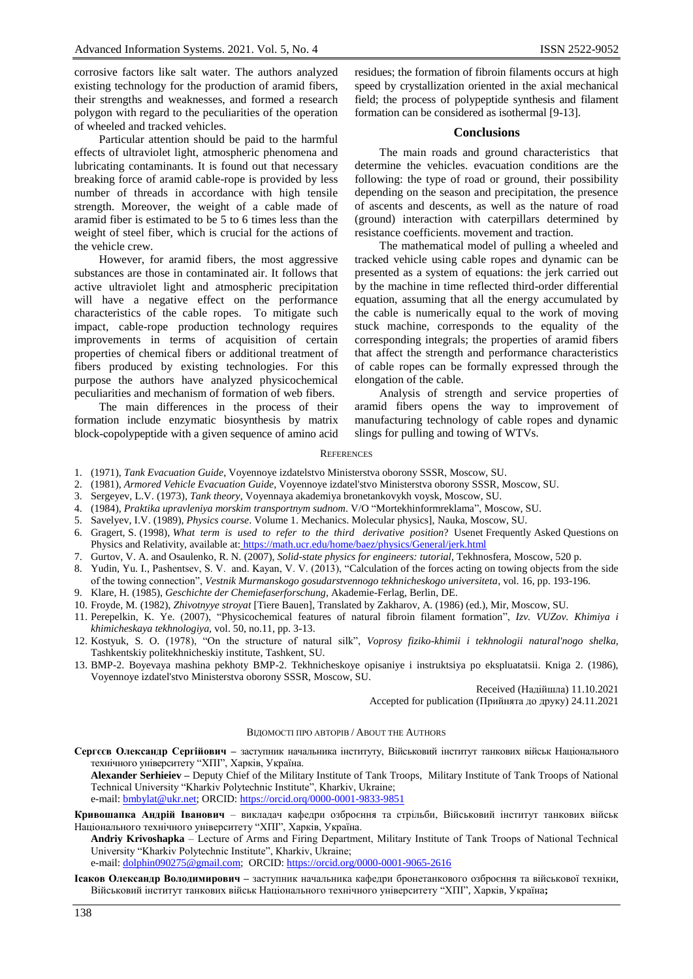corrosive factors like salt water. The authors analyzed existing technology for the production of aramid fibers, their strengths and weaknesses, and formed a research polygon with regard to the peculiarities of the operation of wheeled and tracked vehicles.

Particular attention should be paid to the harmful effects of ultraviolet light, atmospheric phenomena and lubricating contaminants. It is found out that necessary breaking force of aramid cable-rope is provided by less number of threads in accordance with high tensile strength. Moreover, the weight of a cable made of aramid fiber is estimated to be 5 to 6 times less than the weight of steel fiber, which is crucial for the actions of the vehicle crew.

However, for aramid fibers, the most aggressive substances are those in contaminated air. It follows that active ultraviolet light and atmospheric precipitation will have a negative effect on the performance characteristics of the cable ropes. To mitigate such impact, cable-rope production technology requires improvements in terms of acquisition of certain properties of chemical fibers or additional treatment of fibers produced by existing technologies. For this purpose the authors have analyzed physicochemical peculiarities and mechanism of formation of web fibers.

The main differences in the process of their formation include enzymatic biosynthesis by matrix block-сopolypeptide with a given sequence of amino acid residues; the formation of fibroin filaments occurs at high speed by crystallization oriented in the axial mechanical field; the process of polypeptide synthesis and filament formation can be considered as isothermal [9-13].

#### **Conclusions**

The main roads and ground characteristics that determine the vehicles. evacuation conditions are the following: the type of road or ground, their possibility depending on the season and precipitation, the presence of ascents and descents, as well as the nature of road (ground) interaction with caterpillars determined by resistance coefficients. movement and traction.

The mathematical model of pulling a wheeled and tracked vehicle using cable ropes and dynamic can be presented as a system of equations: the jerk carried out by the machine in time reflected third-order differential equation, assuming that all the energy accumulated by the cable is numerically equal to the work of moving stuck machine, corresponds to the equality of the corresponding integrals; the properties of aramid fibers that affect the strength and performance characteristics of cable ropes can be formally expressed through the elongation of the cable.

Analysis of strength and service properties of aramid fibers opens the way to improvement of manufacturing technology of cable ropes and dynamic slings for pulling and towing of WTVs.

#### **REFERENCES**

- 1. (1971), *Tank Evacuation Guide*, Voyennoye izdatelstvo Ministerstva oborony SSSR, Moscow, SU.
- 2. (1981), *Armored Vehicle Evacuation Guide*, Voyennoye izdatel'stvo Ministerstva oborony SSSR, Moscow, SU.
- 3. Sergeyev, L.V. (1973), *Tank theory*, Voyennaya akademiya bronetankovykh voysk, Moscow, SU.
- 4. (1984), *Praktika upravleniya morskim transportnym sudnom*. V/O "Mortekhinformreklama", Moscow, SU.
- 5. Savelyev, I.V. (1989), *Physics course*. Volume 1. Mechanics. Molecular physics], Nauka, Moscow, SU.
- 6. Gragert, S. (1998), *What term is used to refer to the third derivative position*? Usenet Frequently Asked Questions on Physics and Relativity, available at: <https://math.ucr.edu/home/baez/physics/General/jerk.html>
- 7. Gurtov, V. A. and Osaulenko, R. N. (2007), *Solid-state physics for engineers: tutorial*, Tekhnosfera, Moscow, 520 p.
- 8. Yudin, Yu. I., Pashentsev, S. V. and. Kayan, V. V. (2013), "Calculation of the forces acting on towing objects from the side of the towing connection", *Vestnik Murmanskogo gosudarstvennogo tekhnicheskogo universiteta*, vol. 16, pp. 193-196.
- 9. Klare, H. (1985), *Geschichte der Chemiefaserforschung,* Akademie-Ferlag, Berlin, DE.
- 10. Froyde, M. (1982), *Zhivotnyye stroyat* [Tiere Bauen], Translated by Zakharov, A. (1986) (ed.), Mir, Moscow, SU.
- 11. Perepelkin, K. Ye. (2007), "Physicochemical features of natural fibroin filament formation", *Izv. VUZov. Khimiya i khimicheskaya tekhnologiya,* vol. 50, no.11, pp. 3-13.
- 12. Kostyuk, S. O. (1978), "On the structure of natural silk", *Voprosy fiziko-khimii i tekhnologii natural'nogo shelka,*  Tashkentskiy politekhnicheskiy institute, Tashkent, SU.
- 13. BMP-2. Boyevaya mashina pekhoty BMP-2. Tekhnicheskoye opisaniye i instruktsiya po ekspluatatsii. Kniga 2. (1986), Voyennoye izdatel'stvo Ministerstva oborony SSSR, Moscow, SU.

Received (Надійшла) 11.10.2021

Accepted for publication (Прийнята до друку) 24.11.2021

#### ВІДОМОСТІ ПРО АВТОРІВ / ABOUT THE AUTHORS

**Сергєєв Олександр Сергійович –** заступник начальника інституту, Військовий інститут танкових військ Національного технічного університету "ХПІ", Харків, Україна.

**Alexander Serhieiev –** Deputy Chief of the Military Institute of Tank Troops, Military Institute of Tank Troops of National Technical University "Kharkiv Polytechnic Institute", Kharkiv, Ukraine; e-mail[: bmbylat@ukr.net;](mailto:bmbylat@ukr.net) ORCID:<https://orcid.orq/0000-0001-9833-9851>

**Кривошапка Андрій Іванович** ‒ викладач кафедри озброєння та стрільби, Військовий інститут танкових військ Національного технічного університету "ХПІ", Харків, Україна.

**Andriy Krivoshapka** ‒ Lecture of Arms and Firing Department, Military Institute of Tank Troops of National Technical University "Kharkiv Polytechnic Institute", Kharkiv, Ukraine;

e-mail:  $\underline{\text{dolphin090275@gmail.com}}$ ; ORCID[: https://orcid.org/0000-0001-9065-2616](https://orcid.org/0000-0001-9065-2616)

**Ісаков Олександр Володимирович –** заступник начальника кафедри бронетанкового озброєння та військової техніки, Військовий інститут танкових військ Національного технічного університету "ХПІ", Харків, Україна**;**